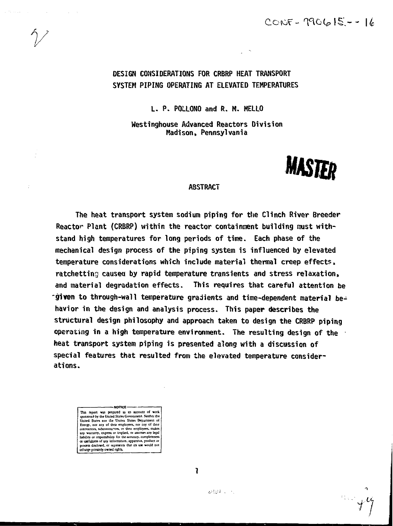# DESIGN CONSIDERATIONS FOR CRBRP HEAT TRANSPORT SYSTEM PIPING OPERATING AT ELEVATED TEMPERATURES

ú.

L. P. PQLLONO and R. M. MELLO

Westinghouse Advanced Reactors Division Madison, Pennsylvania



an yez

### **ABSTRACT**

The heat transport system sodium piping for the Clinch River Breeder Reactor Plant (CRBRP) within the reactor containment building must withstand high temperatures for long periods of time. Each phase of the mechanical design process of the piping system is influenced by elevated temperature considerations which include material thermal creep effects, ratchetting caused by rapid temperature transients and stress relaxation, and material degradation effects. This requires that careful attention be **-given** to through-wall temperature gradients and time-dependent material behavior in the design and analysis process. This paper describes the structural design philosophy and approach taken to design the CRBRP piping operating in a high temperature environment. The resulting design of the heat transport system piping is presented along with a discussion of special features that resulted from the elevated temperature considerations.

NOTICE-This report was prepared as an account of work<br>sponsored by the United States Government. Neither the<br>United States not the United States Department of<br>Emergy, not any of their employees, nor any of their<br>contractors, subc any warranty, express or implied, or assumes any legal<br>liability or responsibility for the accuracy.completeness 01 usefulness of any information, apparatus, product or process disclosed, or represents that its use-would not<br>infringe-privately owned rights.

T.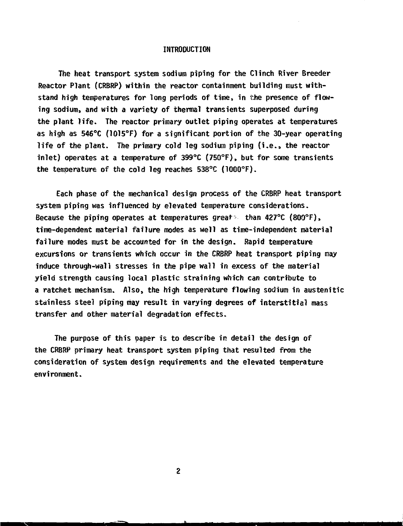### **INTRODUCTION**

**The heat transport system sodium piping for the Clinch River Breeder Reactor Plant (CRBRP) within the reactor containment building must withstand high temperatures for long periods of time, in the presence of flowing sodium, and with a variety of thermal transients superposed during the plant life. The reactor primary outlet piping operates at temperatures as high as 546°C (1015°F) for a significant portion of the 30-year operating life of the plant. The primary cold leg sodium piping (i.e., the reactor inlet) operates at a temperature of 399°C (750°F), but for some transients the temperature of the cold leg reaches 538°C (1000°F).**

**Each phase of the mechanical design process of the CRBRP heat transport system piping was influenced by elevated temperature considerations. Because the piping operates at temperatures great- than 427°C {8Q0°F), time-dependent material failure modes as well as time-independent material failure modes must be accounted for in the design. Rapid temperature excursions or transients which occur in the CRBRP heat transport piping may induce through-wall stresses in the pipe wall in excess of the material yield strength causing local plastic straining which can contribute to a ratchet mechanism. Also, the high temperature flowing sodium in austenitic stainless steel piping nay result in varying degrees of interstitial mass transfer and other material degradation effects.**

**The purpose of this paper is to describe in detail the design of the CRBRP primary heat transport system piping that resulted from the consideration of system design requirements and the elevated temperature environment.**

 $\overline{2}$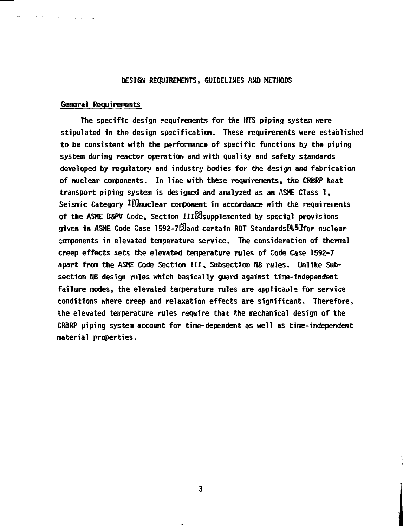## **DESIGN REQUIREMENTS, GUIDELINES AND METHODS**

#### **General Requirements**

, transference control and control

**The specific design requirements for the HTS piping system were stipulated in the design specification. These requirements were established to be consistent with the performance of specific functions by the piping system during reactor operation and with quality and safety standards developed by regulatory and industry bodies for the design and fabrication of nuclear components. In line with these requirements, the CRBRP heat transport piping system is designed and analyzed as an ASME Class 1, Seismic Category I£Qnuclear component in accordance with the requirements of the ASME B&PV Code, Section IIlKsupplemented by special provisions given in ASME Code Case 1592-7E0and certain RDT Standards&5]for nuclear components in elevated temperature service. The consideration of thermal creep effects sets the elevated temperature rules of Code Case 1592-7 apart from the ASME Code Section III, Subsection NB rules. Unlike Subsection NB design rules which basically guard against time-independent failure modes, the elevated temperature rules are applicable for service conditions where creep and relaxation effects are significant. Therefore, the elevated temperature rules require that the mechanical design of the CRBRP piping system account for time-dependent as well as tims-independent material properties.**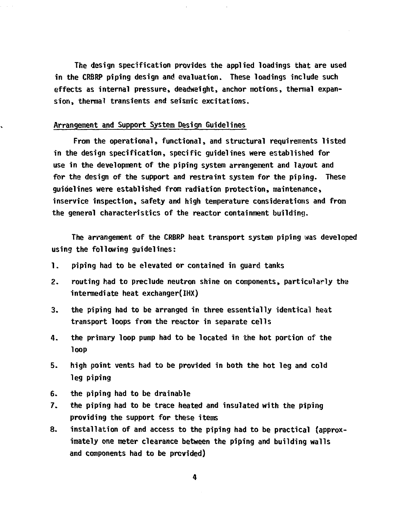**The design specification provides the applied loadings that are used in the CRBRP piping design and evaluation. These loadings include such effects as internal pressure, deadweight, anchor motions, thermal expansion, thermal transients and seismic excitations.**

#### **Arrangement and Support System Design Guidelines**

**From the operational, functional, and structural requirements listed in the design specification, specific guidelines were established for use in the development of the piping system arrangement and layout and for the design of the support and restraint system for the piping. These guidelines were established from radiation protection, maintenance, inservice inspection, safety and high temperature considerations and from the general characteristics of the reactor containment building.**

**The arrangement of the CRBRP heat transport system piping was developed using the following guidelines:**

- **1. piping had to be elevated or contained in guard tanks**
- **2. routing had to preclude neutron shine on components, particularly the intermediate heat exchanger(IHX)**
- **3. the piping had to be arranged in three essentially identical heat transport loops from the reactor in separate cells**
- **4. the primary loop pump had to be located in the hot portion of the loop**
- **5. high point vents had to be provided in both the hot leg and cold leg piping**
- **6. the piping had to be drainable**
- **7. the piping had to be trace heated and insulated with the piping providing the support for these items**
- **8. installation of and access to the piping had to be practical (approximately one meter clearance between the piping and building walls and components had to be provided)**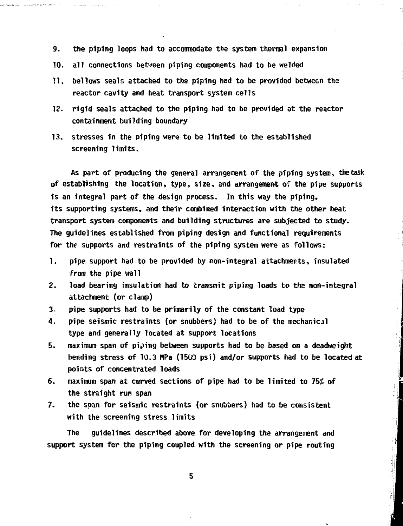- **9. the piping loops had to accommodate the system thermal expansion**
- **10. all connections between piping components had to be welded**
- **11. bellows seals attached to the piping had to be provided between the reactor cavity and heat transport system cells**
- **12. rigid seals attached to the piping had to be provided at the reactor containment building boundary**
- **13. stresses in the piping were to be limited to the established screening limits.**

**As part of producing the general arrangement of the piping system, thetask of establishing the location, type, size, and arrangement of the pipe supports is an integral part of the design process. In this way the piping, its supporting systems, and their combined interaction with the other heat transport system components and building structures are subjected to study. The guidelines established from piping design and functional requirements for the supports and restraints of the piping system were as follows:**

- **1. pipe support had to be provided by non-integral attachments, insulated from the pipe wall**
- **2. load bearing insulation had to transmit piping loads to the non-integral attachment (or clamp)**
- **3. pipe supports had to be primarily of the constant load type**
- **4. pipe seismic restraints (or snubbers) had to be of the mechanical type and generally located at support locations**
- **5. maximum span of piping between supports had to be based on a deadweight bending stress of 10.3 MPa (1509 psi) and/or supports had to be located at points of concentrated loads**
- **6. maximum span at curved sections of pipe had to be limited to 75% of the straight run span**
- **7. the span for seismic restraints (or snubbers) had to be consistent with the screening stress limits**

**The guidelines described above for developing the arrangement and support system for the piping coupled with the screening or pipe routing**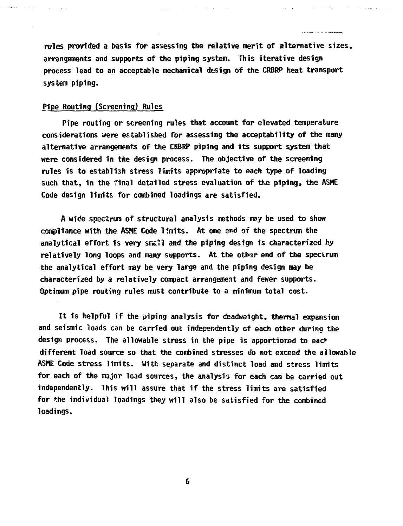**rules provided a basis for assessing the relative merit of alternative sizes, arrangements and supports of the piping system. This iterative design process lead to an acceptable mechanical design of the CRBRP heat transport system piping.**

and the state of the

## **Pipe Routing (Screening) Rules**

**Pipe routing or screening rules that account for elevated temperature considerations were established for assessing the acceptability of the many alternative arrangements of the CRBRP piping and its support system that were considered in the design process. The objective of the screening rules is to establish stress limits appropriate to each type of loading such that, in the final detailed stress evaluation of the piping, the ASHE Code design limits, for combined loadings are satisfied.**

**A wide spectrum of structural analysis methods may be used to show compliance with the ASHE Code limits. At one end of the spectrum the analytical effort is very smell and the piping design is characterized by** relatively long loops and many supports. At the other end of the specirum **the analytical effort may be very large and the piping design nay be characterized by a relatively compact arrangement and fewer supports. Optimum pipe routing rules must contribute to a minimum total cost.**

**It is helpful if the piping analysis for deadweight, thermal expansion and seismic loads can be carried out independently of each other during the design process. The allowable stress in the pipe is apportioned to eadr different load source so that the combined stresses do not exceed the allowable ASME Code stress limits. With separate and distinct load and stress limits for each of the major load sources, the analysis for each can be carried out independently. This will assure that if the stress limits are satisfied for the individual loadings they will also be satisfied for the combined loadings.**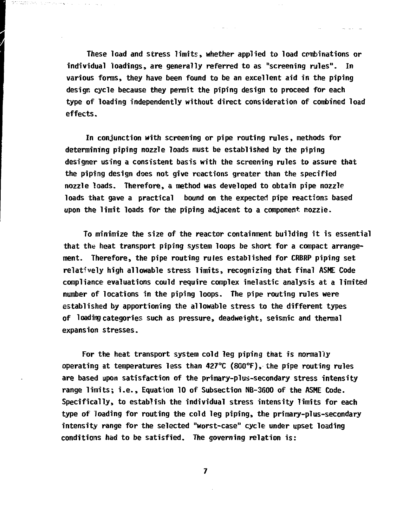**These load and stress limits, whether applied to load combinations or individual loadings, are generally referred to as "screening rules". In various forms, they have been found to be an excellent aid in the piping design cycle because they permit the piping design to proceed for each type of loading independently without direct consideration of combined load effects.**

**In conjunction with screening or pipe routing rules, methods for determining piping nozzle loads must be established by the piping designer using a consistent basis with the screening rules to assure that the piping design does not give reactions greater than the specified nozzle loads. Therefore, a method was developed to obtain pipe nozzle loads that gave a practical bound on the expected pipe reactions based upon the limit loads for the piping adjacent to a component nozzie.**

**To minimize the size of the reactor containment building it is essential that the heat transport piping system loops be short for a compact arrangement. Therefore, the pipe routing rules established for CRBRP piping set relatively high allowable stress limits, recognizing that final ASME Code compliance evaluations could require complex inelastic analysis at a limited number of locations in the piping loops. The pipe routing rules were established by apportioning the allowable stress to the different types of loading categories such as pressure, deadweight, seismic and thermal expansion stresses.**

**For the heat transport system cold leg piping that is normally operating at temperatures less than 427°C (8G0°F), the pipe routing rules are based upon satisfaction of the primary-plus-secondary stress intensity range limits; i.e., Equation 10 of Subsection NB-31500 of the ASME Code. Specifically, to establish the individual stress intensity limits for each type of loading for routing the cold leg piping, the primary-plus-secondary intensity range for the selected "worst-case" cycle under upset loading conditions had to be satisfied. The governing relation is:**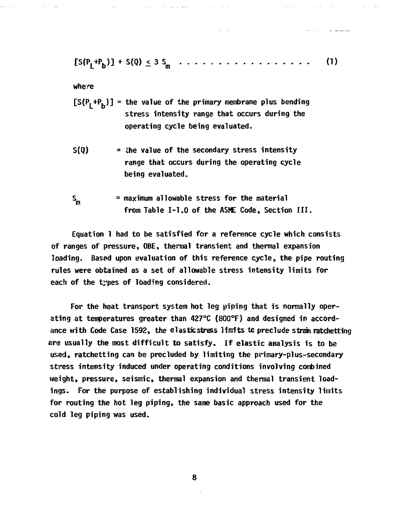$$
[S(P_1 + P_1)] + S(0) \leq 3 S_n \dots \dots \dots \dots \dots \dots \dots \dots \tag{1}
$$

**Carlo Co** 

**where**

- $[S(P_1+P_6)]$  = the value of the primary membrane plus bending **stress intensity range that occurs during the operating cycle being evaluated.**
- **S(Q) = the value of the secondary stress intensity range that occurs during the operating cycle being evaluated.**
- **S<sub>m</sub>** = maximum allowable stress for the material **from Table 1-1.0 of the ASME Code, Section III.**

**Equation 1 had to be satisfied for a reference cycle which consists of ranges of pressure, OBE, thermal transient and thermal expansion loading. Based upon evaluation of this reference cycle, the pipe routing rules were obtained as a set of allowable stress intensity limits for each of the types of loading considered.**

**For the heat transport system hot leg piping that is normally operating at temperatures greater than 427°C (800°F) and designed in accordance with Code Case 1592, the elasticstress linrtts tc preclude straw ratchetting are usually the most difficult to satisfy. If elastic analysis is to be us;ed, ratchetting can be precluded by limiting the primary-plus-secondary stress intensity induced under operating conditions involving combined weight, pressure, seismic, thermal expansion and thermal transient loadings. For the purpose of establishing individual stress intensity limits for routing the hot leg piping, the same basic approach used for the cold leg piping was used.**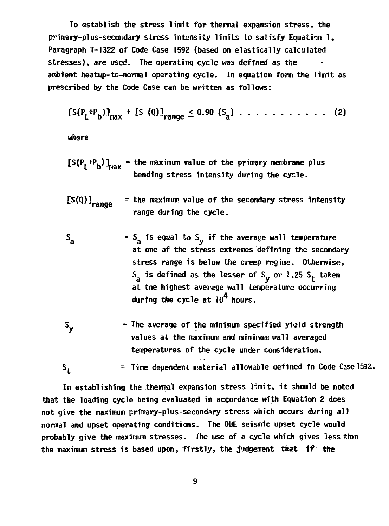**To establish the stress limit for thermal expansion stress9 the pnmary-plus-secondary stress intensity limits to satisfy Equation 1, Paragraph T-1322 of Code Case 1592 (based on elastically calculated stresses), are used. The operating cycle was defined as the ambient heatup-tc-normal operating cycle. In equation form the limit as prescribed by the Code Case can be written as follows:**

$$
[S(P_1^{+P_1})]_{\text{max}}^{+} + [S(Q)]_{\text{range}} \leq 0.90 (S_a) \ldots \ldots \ldots \ldots \ldots (2)
$$

**where**

- **[S(P.+P. )1 the maximum value of the primary membrane plus bending stress intensity during the cycle.**
- $[S(Q)]$ <sub>range</sub> **Vafl ye the maximum value of the secondary stress intensity range during the cycle.**
- $= S_a$  is equal to  $S_v$  if the average wall temperature  $S_{a}$ at one of the stress extremes defining the secondary stress range is below the creep regime. Otherwise, **s**<sub>a</sub> is defined as the lesser of S<sub>y</sub> or 1.25 S<sub>t</sub> taken at the highest average wall temperature occurring during the cycle at  $10^4$  hours.
- S<sub>v</sub>  $\cdot$  The average of the minimum specified yield strength **values at the maximum and minimum wall averaged temperatures of the cycle under consideration.**

**St = Time dependent material allowable defined in Code Case 1592,.**

**In establishing the thermal expansion stress limit, it should be noted that the loading cycle being evaluated in accordance with Equation 2 does not give the maximum primary-plus-secondary stress which occurs during all normal and upset operating conditions. The OBE seismic upset cycle would probably give the maximum stresses. The use of a cycle which gives less than the maximum stress is based upon, firstly, the judgement that if the**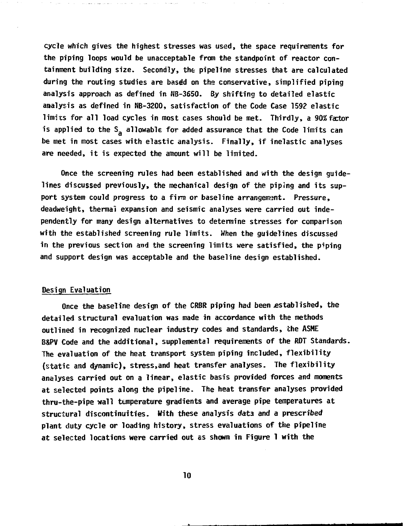**cycle which gives the highest stresses was used, the space requirements for the piping loops would be unacceptable from the standpoint of reactor containment building size. Secondly, the pipeline stresses that are calculated during the routing studies are basdd on the conservative, simplified piping analysis approach as defined in NB-3650. By shifting to detailed elastic analysis as defined in NB-3200, satisfaction of the Code Case 1592 elastic limits for all load cycles in most cases should be met. Thirdly, a 90%factor** is applied to the S<sub>a</sub> allowable for added assurance that the Code limits can be met in most cases with elastic analysis. Finally, if inelastic analyses are needed, it is expected the amount will be limited.

**Once the screening rules had been established and with the design guidelines discussed previously, the mechanical design of the piping and its support system could progress to a firm or baseline arrangement. Pressure, deadweight, thermal expansion and seismic analyses were carried out independently for many design alternatives to determine stresses for comparison with the established screening rule limits. When the guidelines discussed in the previous section and the screening limits were satisfied, the piping and support design was acceptable and the baseline design established.**

#### **Design Evaluation**

**Once the baseline design of the CRBR piping had been established, the detailed structural evaluation was made in accordance with the methods outlined in recognized nuclear industry codes and standards, the ASHE B&PV Code and the additional, supplemental requirements of the RDT Standards. The evaluation of the heat transport system piping included, flexibility (static and dynamic), stress,and heat transfer analyses. The flexibility analyses carried out on a linear, elastic basis provided forces and moments at selected points along the pipeline. The heat transfer analyses provided thru-the-pipe wall temperature gradients and average pipe temperatures at structural discontinuities. With these analysis data and a prescribed plant duty cycle or loading history, stress evaluations of the pipeline at selected locations were carried out as shown in Figure 1 with the**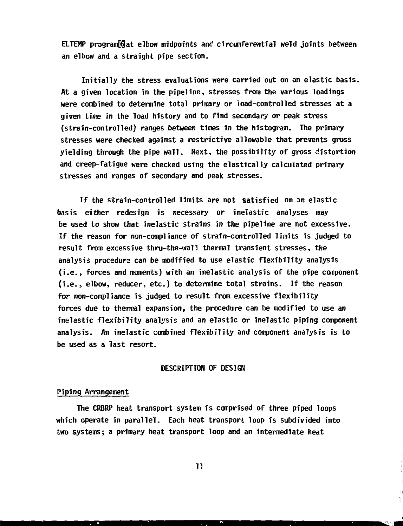**ELTEMP pragram[€at elbow midpoints and circumferential weld joints between an elbow and a straight pipe section.**

**Initially the stress evaluations were carried out on an elastic basis. At a given location in the pipeline, stresses from the various loadings were combined to determine total primary or load-controlled stresses at a given time in the load history and to find secondary or peak stress (strain-controlled) ranges between times in the histogram. The primary stresses were checked against a restrictive allowable that prevents gross yielding through the pipe wall. Next, the possibility of gross distortion and creep-fatigue were checked using the elastically calculated primary stresses and ranges of secondary and peak stresses.**

**If the strain-controlled limits are not satisfied on an elastic basis either redesign is necessary or inelastic analyses may be used to show that inelastic strains in the pipeline are not excessive. If the reason for non-compliance of strain-controlled limits is judged to result from excessive thru-the-wall thermal transient stresses, the analysis procedure can be modified to use elastic flexibility analysis (i.e., forces and moments) with an inelastic analysis of the pipe component (i.e., elbow, reducer, etc.) to determine total strains. If the reason for non-compliance is judged to result from excessive flexibility forces due to thermal expansion, the procedure can be modified to use an inelastic flexibility analysis and an elastic or inelastic piping component analysis. An inelastic combined flexibility and component anaTysis is to be used as a last resort.**

### **DESCRIPTION OF DESIGN**

### **Piping Arrangement**

**The CRBRP heat transport system is comprised of three piped loops which operate in parallel. Each heat transport loop is subdivided into two systems; a primary heat transport loop and an intermediate heat**

 $\mathbf{1}$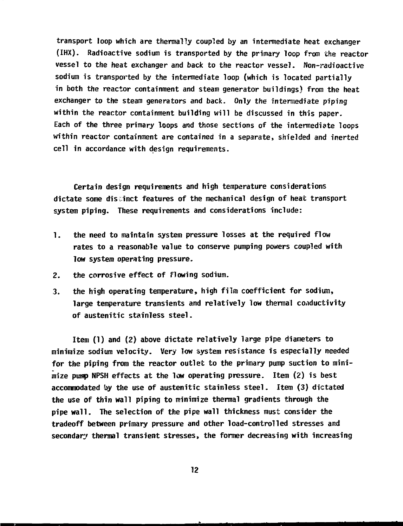**transport loop which are thermally coupled by an intermediate heat exchanger (IHX). Radioactive sodium is transported by the primary loop from the reactor vessel to the heat exchanger and back to the reactor vessel. Non-radioactive sodium is transported by the intermediate loop (which is located partially in both the reactor containment and steam generator buildings} from the heat exchanger to the steam generators and back. Only the intermediate piping within the reactor containment building will be discussed in this paper. Each of the three primary loops and those sections of the intermediate loops within reactor containment are contained in a separate, shielded and inerted cell in accordance with design requirements.**

**Certain design requirements and high temperature considerations dictate some disr.inct features of the mechanical design of heat transport system piping. These requirements and considerations include:**

- **1. the need to maintain system pressure losses at the required flow rates to a reasonable value to conserve pumping powers coupled with low system operating pressure.**
- **2. the corrosive effect of flowing sodium.**
- **3. the high operating temperature, high film coefficient for sodium, large temperature transients and relatively low thermal conductivity of austenitic stainless steel.**

**Item (1) and (2) above dictate relatively large pipe diameters to minimize sodium velocity. Very low system resistance is especially needed for the piping from the reactor outlet to the primary pump suction to minimize pump NPSH effects at the low operating pressure. Item {2) is best accommodated by the use of austenitic stainless steel. Item (3) dictated the use of thin wall piping to minimize thermal gradients through the pipe wall. The selection of the pipe wall thickness must consider the tradeoff between primary pressure and other load-controlled stresses and secondary thermal transient stresses, the former decreasing with increasing**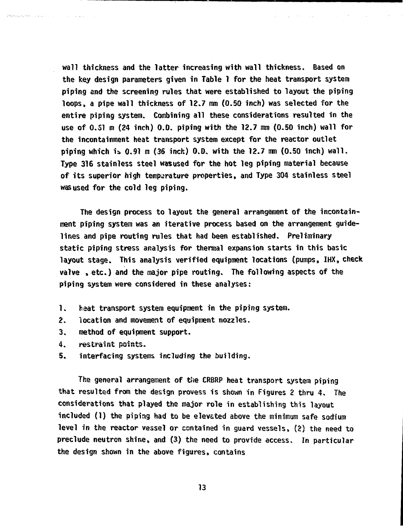**wall thickness and the latter Increasing with wall thickness. Based on the key design parameters given in Table 1 for the heat transport system piping and the screening rules that were established to layout the piping loops, a pipe wall thickness of 12.7 mm (0.50 inch) was selected for the entire piping system. Combining all these considerations resulted in the use of 0.51 m (24 inch) 0.0. piping with the 12.7 mm (0.50 inch) wall for the incontainment heat transport system except for the reactor outlet piping which is> 0.91 m (36 inch) 0.0. with the 12.7 mm (0.50 inch) wall. Type 316 stainless steel was used for the hot leg piping material because of its superior high temperature properties, and Type 304 stainless steel was used for the cold leg piping.**

**The design process to layout the general arrangement of the incontainment piping system was an iterative process based on the arrangement guidelines and pipe routing rules that had been established. Preliminary static piping stress analysis for thermal expansion starts in this basic layout stage. This analysis verified equipment locations (pumps, IHX, check valve , etc.) and the major pipe routing. The following aspects of the piping system were considered in these analyses:**

- **1. heat transport system equipment in the piping system.**
- **2. location and movement of equipment nozzles.**
- **3. method of equipment support.**
- **4. restraint points.**

Strandard that is a series of the company of the

**5. interfacing systems including the building.**

**The general arrangement of the CRBRP heat transport system piping that resulted from the design provess is shown in Figures 2 thru 4. The considerations that played the major role in establishing this layout included (1) the piping had to be elevated above the minimum safe sodium level in the reactor vessel or contained in guard vessels, (2) the need to preclude neutron shine, and (3) the need to provide access. In particular the design shown in the above figures, contains**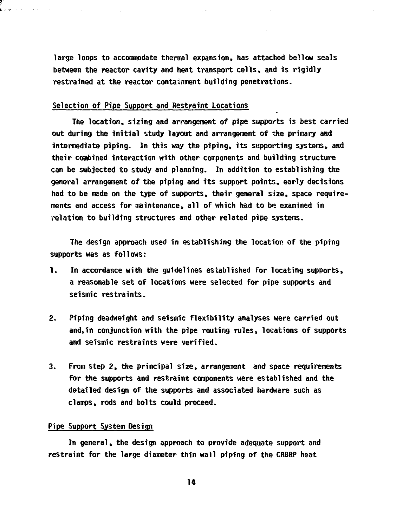**large loops to accommodate thermal expansion, has attached bellow seals between the reactor cavity and heat transport cells, and is rigidly restrained at the reactor containment building penetrations.**

### Selection of Pipe Support and Restraint Locations

the contract of the contract of the contract of the contract of the contract of the contract of

 $\mathcal{A}^{\mathcal{A}}$  and  $\mathcal{A}^{\mathcal{A}}$  and  $\mathcal{A}^{\mathcal{A}}$ 

**The location, sizing and arrangement of pipe supports is best carried out during the initial study layout and arrangement of the primary and intermediate piping. In this way the piping, its supporting systems, and their coabined interaction with other components and building structure can be subjected to study and planning. In addition to establishing the general arrangement of the piping and its support points, early decisions had to be made on the type of supports, their general size, space requirements and access for maintenance, all of which had to be examined in relation to building structures and other related pipe systems.**

**The design approach used in establishing the location of the piping supports was as follows:**

- **1. In accordance with the guidelines established for locating supports, a reasonable set of locations were selected for pipe supports and seismic restraints.**
- **2. Piping deadweight and seismic flexibility analyses were carried out and,in conjunction with the pipe routing rules, locations of supports and seismic restraints were verified.**
- **3. From step 2, the principal size, arrangement and space requirements for the supports and restraint components were established and the detailed design of the supports and associated hardware such as clamps, rods and bolts could proceed.**

### **Pipe Support System Design**

**In general, the design approach to provide adequate support and restraint for the large diameter thin wall piping of the CRBRP heat**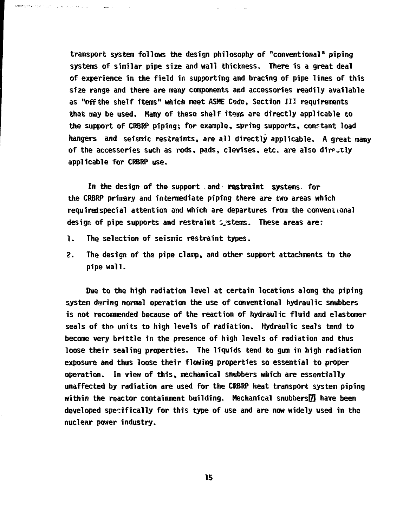**transport system follows the design philosophy of "conventional" piping systems of similar pipe size and wall thickness. There is a great deal of experience in the field in supporting and bracing of pipe lines of this size range and there are many components and accessories readily available as "offthe shelf items" which meet ASHE Code, Section III requirements that may be used. Many of these shelf items are directly applicable to the support of CRBRP piping; for example, spring supports, constant load hangers and seismic restraints, are all directly applicable. A great many of the accessories such as rods, pads, clevises, etc. are also dir^tly applicable for CRBRP use.**

**In the design of the support .and restraint systems for the CRBRP primary and intermediate piping there are two areas which requiredspecial attention and which are departures from the conventional design of pipe supports and restraint systems. These areas are:**

**1. The selection of seismic restraint types.**

.<br>Extendio di contra primere della caraccia di company della caraccia della contra della contra della contra del

**2. The design of the pipe clamp, and other support attachments to the pipe wall.**

**Due to the high radiation level at certain locations along the piping system during normal operation the use of conventional hydraulic snubbers is not recotmiended because of the reaction of hydraulic fluid and elastomer seals of the units to high levels of radiation. Hydraulic seals tend to become very brittle in the presence of high levels of radiation and thus loose their sealing properties. The liquids tend to gum in high radiation exposure and thus loose their flowing properties so essential to proper operation. In view of this, mechanical snubbers which are essentially unaffected by radiation are used for the CRBRP heat transport system piping within the reactor containment building. Mechanical snubbersEI have been developed specifically for this type of use and are now widely used in the nuclear power industry.**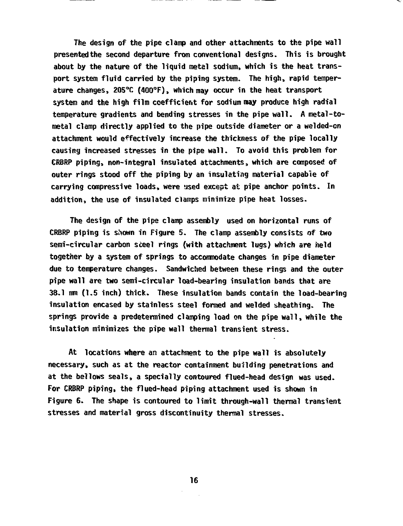**The design of the pipe clamp and other attachments to the pipe wall presentedthe second departure from conventional designs. This is brought about by the nature of the liquid metal sodium, which is the heat transport system fluid carried by the piping system. The high, rapid temperature changes, 205°C (4Q0°F), which may occur in the heat transport system and the high film coefficient for sodium may produce high radial temperature gradients and bending stresses in the pipe wall. A metal-tometal clamp directly applied to the pipe outside diameter or a welded-cn attachment would effectively increase the thickness of the pipe locally causing increased stresses in the pipe wall. To avoid this problem for CRBRP piping, non-integral insulated attachments, which are composed of outer rings stood off the piping by an insulating material capable of carrying compressive loads, were used except at pipe anchor points. In addition, the use of insulated clamps minimize pipe heat losses.**

**The design of the pipe clamp assembly used on horizontal runs of CRBRP piping is shown in Figure 5. The clamp assembly consists of two semi-circular carbon steel rings (with attachment lugs) which are held together by a system of springs to accommodate changes in pipe diameter due to temperature changes. Sandwiched between these rings and the outer pipe wall are two semi-circular load-bearing insulation bands that are 38.1 mm (1.5 inch) thick. These insulation bands contain the load-bearing insulation encased by stainless steel formed and welded sheathing. The springs provide a predetermined clamping load on the pipe wall, while the insulation minimizes the pipe wall thermal transient stress.**

**At locations where an attachment to the pipe wall is absolutely necessary, such as at the reactor containment building penetrations and at the bellows seals, a specially contoured flued-head design was used. For CRBRP piping, the flued-head piping attachment used is shown in Figure 6. The shape is contoured to limit through-wall thermal transient stresses and material gross discontinuity thermal stresses.**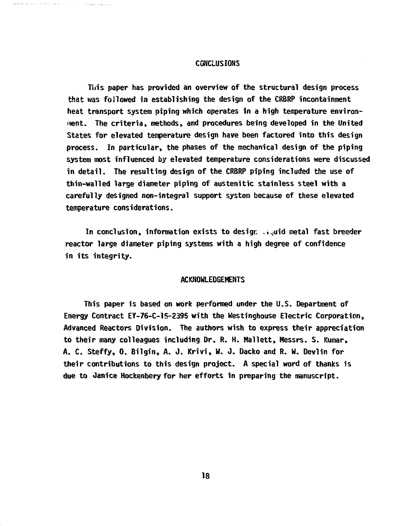#### **CONCLUSIONS**

**A LONG TEN LL L** 

**Tins paper has provided an overview of the structural design process that was foilowed in establishing the design of the CRBRP incontainment heat transport system piping which operates in a high temperature environ- <nent. The criteria, methods, and procedures being developed in the United States for elevated temperature design have been factored into this design process. In particular, the phases of the mechanical design of the piping system most influenced by elevated temperature considerations were discussed in detail. The resulting design of the CRBRP piping included the use of thin-walled large diameter piping of austenitic stainless steel with a carefully designed non-integral support system because of these elevated temperature considerations.**

In conclusion, information exists to design ...aid metal fast breeder **reactor large diameter piping systems with a high degree of confidence in its integrity.**

### **ACKNOWLEDGEMENTS**

**This paper is based on work performed under the U.S. Department of Energy Contract EY-76-C-15-2395 with the Westinghouse Electric Corporation, Advanced Reactors Division. The authors wish to express their appreciation to their many colleagues including Dr. R. H. Mallett, Messrs. S. Kumar, A. C. Steffy, 0. Bilgin, A. J. Krivi, W. J. Dacko and R. W. Devlin for their contributions to this design project. A special word of thanks is due to Janice Hockenbery for her efforts in preparing the manuscript.**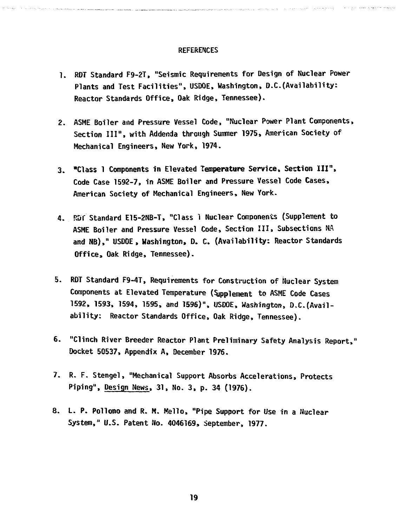#### **REFERENCES**

- **1. RDT Standard F9-2T, "Seismic Requirements for Design of Nuclear Power Plants and Test Facilities", USDOE, Washington, D.C.(Availability: Reactor Standards Office, Oak Ridge, Tennessee).**
- **2. ASME Boiler and Pressure Vessel Code, "Nuclear Power Plant Components, Section III", with Addenda through Summer 1975, American Society of Mechanical Engineers, New York, 1974.**
- **3. "Class 1 Components in Elevated Temperature Service, Section III", Code Case 1592-7, in ASME Boiler and Pressure Vessel Code Cases, American Society of Mechanical Engineers, Mew York.**
- **4. RBT Standard E15-2NB-T, "Class 1 Nuclear Components (Supplement to ASME Boiler and Pressure Vessel Code, Section III, Subsections NA and NB)," USDOE, Washington, D. C. (Availability: Reactor Standards Office, Oak Ridge, Tennessee).**
- **5. RDT Standard F9-4T, Requirements for Construction of Nuclear System Components at Elevated Temperature (Sjpplement to ASME Code Cases 1592, 1593, 1594, 1595, and 1596)", USDOE, Washington, O,C.(Availability: Reactor Standards Office, Oak Ridge, Tennessee).**
- **6. "Clinch River Breeder Reactor Plant Preliminary Safety Analysis Report," Docket 50537, Appendix A, December 1976.**
- **7. R. F. Stengel, "Mechanical Support Absorbs Accelerations, Protects Piping", Design News, 31, No. 3, p. 34 (1976).**
- **8. L. P. Pollono and R. M. Kello, "Pipe Support for Use in a Nuclear System," U.S. Patent No. 4046169, September, 1977.**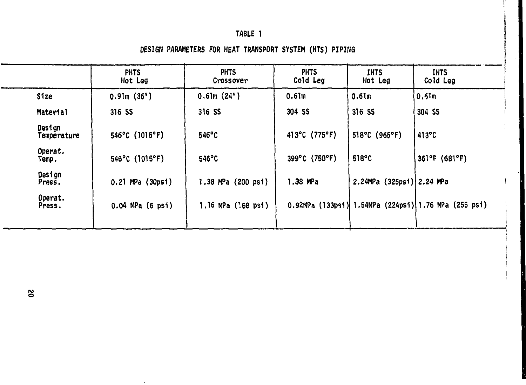# TABLE 1

**I I! p**

DESIGN PARAMETERS FOR HEAT TRANSPORT SYSTEM (HTS) PIPING

|                       | <b>PHTS</b><br>Hot Leg   | <b>PHTS</b><br>Crossover | <b>PHTS</b><br>Cold Leg | <b>IHTS</b><br>Hot Leg    | <b>IHTS</b><br>Cold Leg                              |  |
|-----------------------|--------------------------|--------------------------|-------------------------|---------------------------|------------------------------------------------------|--|
| <b>Size</b>           | 0.91m(36")               | 0.61m(24")               | 0.61m                   | 0.61m                     | 0,51m                                                |  |
| Material              | 316 SS                   | 316 SS                   | 304 SS                  | 316 SS                    | 304 SS                                               |  |
| Design<br>Temperature | $546^{\circ}$ C (1015°F) | $546^{\circ}$ C          | 413°C (775°F)           | $518^{\circ}C$ (965°F)    | 413°C                                                |  |
| Operat.<br>Temp.      | $546^{\circ}$ C (1015°F) | $546^{\circ}$ C          | 399°C (750°F)           | 518°C                     | 361°F (681°F)                                        |  |
| Design<br>Press.      | 0.21 MPa (30psi)         | 1.38 MPa (200 psi)       | $1.38$ MPa              | 2.24MPa (325psi) 2.24 MPa |                                                      |  |
| Operat.<br>Press.     | $0.04$ MPa $(6$ psi)     | 1.16 MPa (168 psi)       |                         |                           | 0.92MPa (133psi) 1.54MPa (224psi) 1.76 MPa (255 psi) |  |

 $\bar{1}$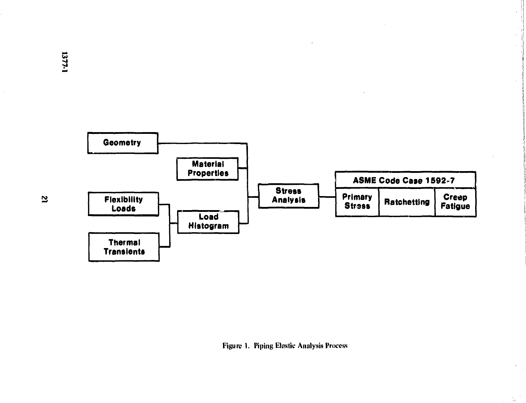

**i**

 $\chi^2$ 

**| i**

 $\chi_{\rm c}$  .

**Figure I. Piping Elastic Analysis Process**

 $\mathbf{z}$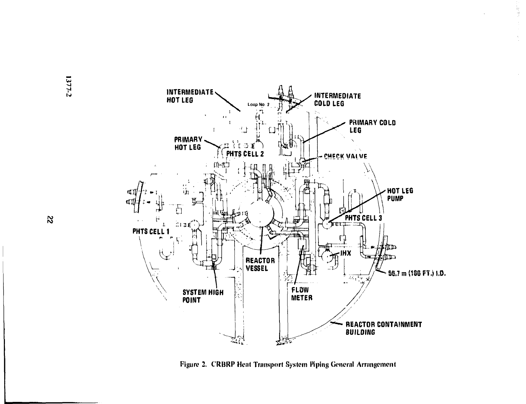



ik<br>B

Figure 2. CRBRP Heat Transport System Piping General Arrangement

**ro**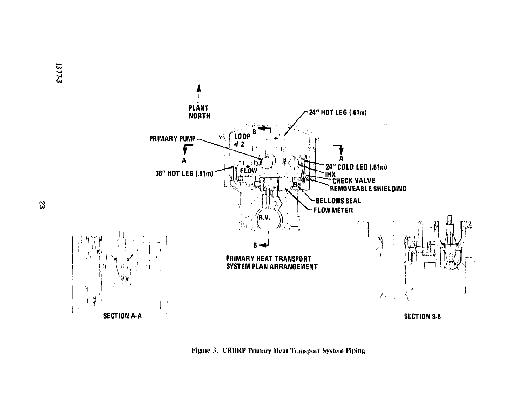

**Figure 3. CRBRP Primary Heat Transport System Piping** 

**CO**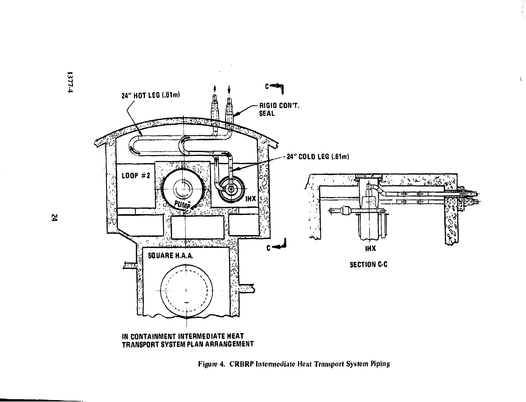

 $\frac{1}{\sqrt{2}}$ 

 $\mathbf{t}$ 

**Figure 4. CRBRP Intenncdiate Hent Transport System Piping**

1377-4

**IN)**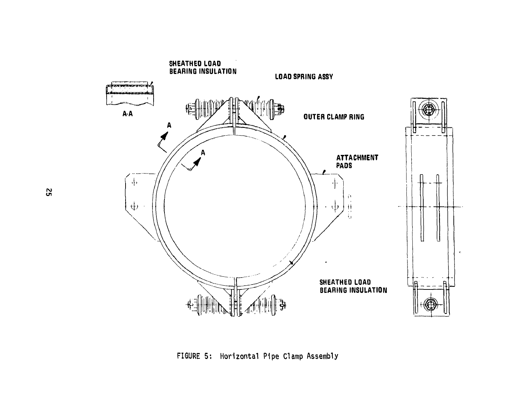

FIGURE 5: Horizontal Pipe Clamp Assembly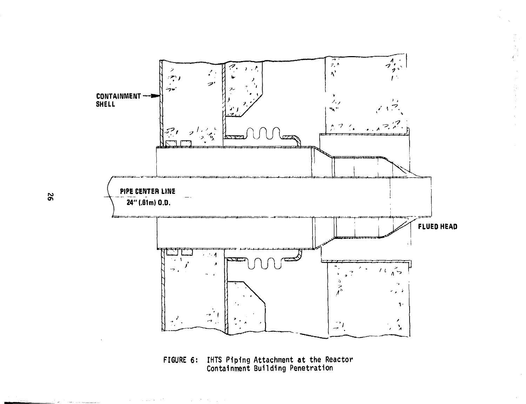

第十九章

ģ.

 $\frac{1}{4}$ 

**FIGURE 6: IHTS Piping Attachment at the Reactor Containment Building Penetration**

 $\alpha_{\rm{max}} = 1.11 \pm 0.000$ 

a<br>Tanzania eta median zuen

 $\mathcal{L}^{\mathcal{L}}(\mathcal{L}^{\mathcal{L}}(\mathcal{L}^{\mathcal{L}}(\mathcal{L}^{\mathcal{L}}(\mathcal{L}^{\mathcal{L}}(\mathcal{L}^{\mathcal{L}}(\mathcal{L}^{\mathcal{L}}(\mathcal{L}^{\mathcal{L}}(\mathcal{L}^{\mathcal{L}}(\mathcal{L}^{\mathcal{L}}(\mathcal{L}^{\mathcal{L}}(\mathcal{L}^{\mathcal{L}}(\mathcal{L}^{\mathcal{L}}(\mathcal{L}^{\mathcal{L}}(\mathcal{L}^{\mathcal{L}}(\mathcal{L}^{\mathcal{L}}(\mathcal{L}^{\mathcal{L$